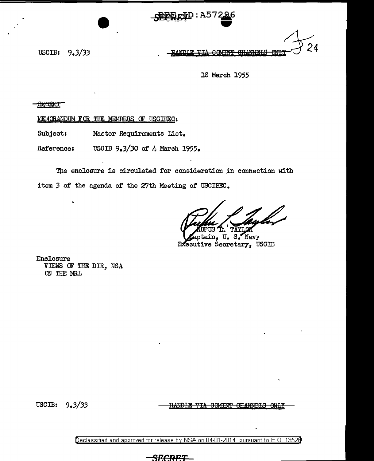

USGIB:  $9.3/33$  **INDIE VIA COMINT CHANNELS CNLX** $\sim$  24

18 March 1955

**SECRET** 

MEMORANDUM FOR THE MEMBERS OF USCIBEC:

Subject: Master Requirements List.

Reference: USCIB 9.3/30 of 4 March 1955.

The enclosure is circulated for consideration in connection with item 3 of the agenda of the 27th Meeting of USCIBEC.

TAYLOR Τ. dros L. Hillyn<br>tain, U. S. Navy

Executive Secretary, USCIB

Enclosure VIEWS OF THE DIR, NSA ON THE MRL

USCIB: 9.3/33 **IIANDIE VIA OOMINT OHANNELS** 

Declassified and approved for release by NSA on 04-01-2014 pursuant to E. 0. 1352B

yxcre